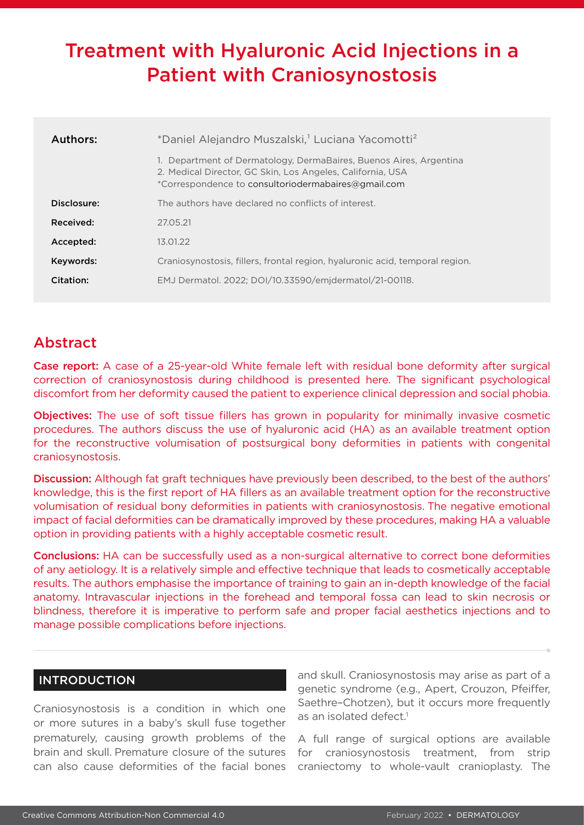# Treatment with Hyaluronic Acid Injections in a Patient with Craniosynostosis

| Authors:    | *Daniel Alejandro Muszalski, <sup>1</sup> Luciana Yacomotti <sup>2</sup>                                                                                                                |
|-------------|-----------------------------------------------------------------------------------------------------------------------------------------------------------------------------------------|
|             | 1. Department of Dermatology, DermaBaires, Buenos Aires, Argentina<br>2. Medical Director, GC Skin, Los Angeles, California, USA<br>*Correspondence to consultoriodermabaires@gmail.com |
| Disclosure: | The authors have declared no conflicts of interest.                                                                                                                                     |
| Received:   | 27.05.21                                                                                                                                                                                |
| Accepted:   | 13.01.22                                                                                                                                                                                |
| Keywords:   | Craniosynostosis, fillers, frontal region, hyaluronic acid, temporal region.                                                                                                            |
| Citation:   | EMJ Dermatol. 2022; DOI/10.33590/emjdermatol/21-00118.                                                                                                                                  |

## Abstract

Case report: A case of a 25-year-old White female left with residual bone deformity after surgical correction of craniosynostosis during childhood is presented here. The significant psychological discomfort from her deformity caused the patient to experience clinical depression and social phobia.

Objectives: The use of soft tissue fillers has grown in popularity for minimally invasive cosmetic procedures. The authors discuss the use of hyaluronic acid (HA) as an available treatment option for the reconstructive volumisation of postsurgical bony deformities in patients with congenital craniosynostosis.

Discussion: Although fat graft techniques have previously been described, to the best of the authors' knowledge, this is the first report of HA fillers as an available treatment option for the reconstructive volumisation of residual bony deformities in patients with craniosynostosis. The negative emotional impact of facial deformities can be dramatically improved by these procedures, making HA a valuable option in providing patients with a highly acceptable cosmetic result.

Conclusions: HA can be successfully used as a non-surgical alternative to correct bone deformities of any aetiology. It is a relatively simple and effective technique that leads to cosmetically acceptable results. The authors emphasise the importance of training to gain an in-depth knowledge of the facial anatomy. Intravascular injections in the forehead and temporal fossa can lead to skin necrosis or blindness, therefore it is imperative to perform safe and proper facial aesthetics injections and to manage possible complications before injections.

## INTRODUCTION

Craniosynostosis is a condition in which one or more sutures in a baby's skull fuse together prematurely, causing growth problems of the brain and skull. Premature closure of the sutures can also cause deformities of the facial bones and skull. Craniosynostosis may arise as part of a genetic syndrome (e.g., Apert, Crouzon, Pfeiffer, Saethre–Chotzen), but it occurs more frequently as an isolated defect.<sup>1</sup>

A full range of surgical options are available for craniosynostosis treatment, from strip craniectomy to whole-vault cranioplasty. The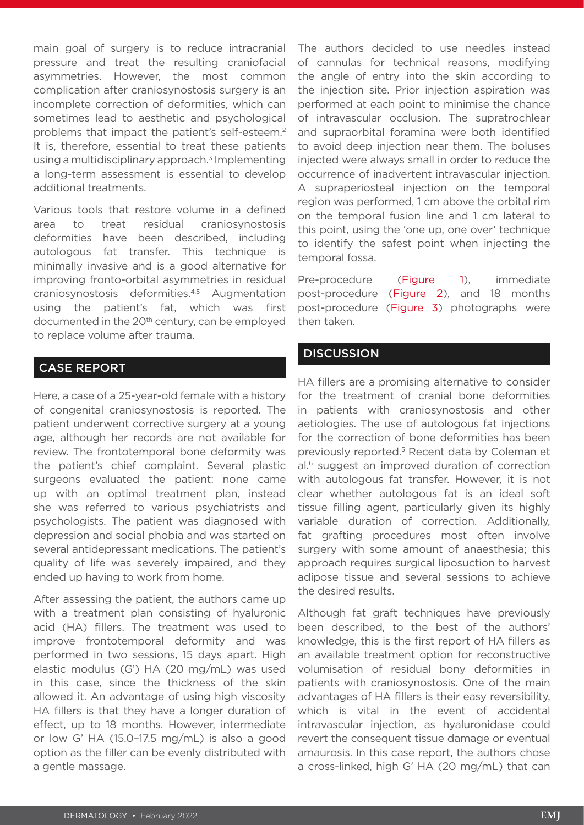main goal of surgery is to reduce intracranial pressure and treat the resulting craniofacial asymmetries. However, the most common complication after craniosynostosis surgery is an incomplete correction of deformities, which can sometimes lead to aesthetic and psychological problems that impact the patient's self-esteem.2 It is, therefore, essential to treat these patients using a multidisciplinary approach.<sup>3</sup> Implementing a long-term assessment is essential to develop additional treatments.

Various tools that restore volume in a defined area to treat residual craniosynostosis deformities have been described, including autologous fat transfer. This technique is minimally invasive and is a good alternative for improving fronto-orbital asymmetries in residual craniosynostosis deformities.4,5 Augmentation using the patient's fat, which was first documented in the 20<sup>th</sup> century, can be employed to replace volume after trauma.

## CASE REPORT

Here, a case of a 25-year-old female with a history of congenital craniosynostosis is reported. The patient underwent corrective surgery at a young age, although her records are not available for review. The frontotemporal bone deformity was the patient's chief complaint. Several plastic surgeons evaluated the patient: none came up with an optimal treatment plan, instead she was referred to various psychiatrists and psychologists. The patient was diagnosed with depression and social phobia and was started on several antidepressant medications. The patient's quality of life was severely impaired, and they ended up having to work from home.

After assessing the patient, the authors came up with a treatment plan consisting of hyaluronic acid (HA) fillers. The treatment was used to improve frontotemporal deformity and was performed in two sessions, 15 days apart. High elastic modulus (G') HA (20 mg/mL) was used in this case, since the thickness of the skin allowed it. An advantage of using high viscosity HA fillers is that they have a longer duration of effect, up to 18 months. However, intermediate or low G' HA (15.0–17.5 mg/mL) is also a good option as the filler can be evenly distributed with a gentle massage.

The authors decided to use needles instead of cannulas for technical reasons, modifying the angle of entry into the skin according to the injection site. Prior injection aspiration was performed at each point to minimise the chance of intravascular occlusion. The supratrochlear and supraorbital foramina were both identified to avoid deep injection near them. The boluses injected were always small in order to reduce the occurrence of inadvertent intravascular injection. A supraperiosteal injection on the temporal region was performed, 1 cm above the orbital rim on the temporal fusion line and 1 cm lateral to this point, using the 'one up, one over' technique to identify the safest point when injecting the temporal fossa.

Pre-procedure (Figure 1), immediate post-procedure (Figure 2), and 18 months post-procedure (Figure 3) photographs were then taken.

## **DISCUSSION**

HA fillers are a promising alternative to consider for the treatment of cranial bone deformities in patients with craniosynostosis and other aetiologies. The use of autologous fat injections for the correction of bone deformities has been previously reported.5 Recent data by Coleman et al.<sup>6</sup> suggest an improved duration of correction with autologous fat transfer. However, it is not clear whether autologous fat is an ideal soft tissue filling agent, particularly given its highly variable duration of correction. Additionally, fat grafting procedures most often involve surgery with some amount of anaesthesia; this approach requires surgical liposuction to harvest adipose tissue and several sessions to achieve the desired results.

Although fat graft techniques have previously been described, to the best of the authors' knowledge, this is the first report of HA fillers as an available treatment option for reconstructive volumisation of residual bony deformities in patients with craniosynostosis. One of the main advantages of HA fillers is their easy reversibility, which is vital in the event of accidental intravascular injection, as hyaluronidase could revert the consequent tissue damage or eventual amaurosis. In this case report, the authors chose a cross-linked, high G' HA (20 mg/mL) that can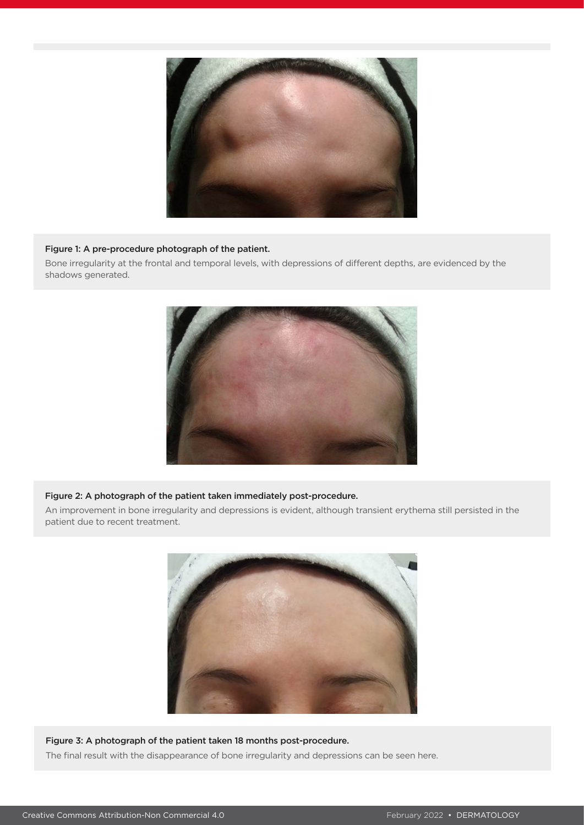

#### Figure 1: A pre-procedure photograph of the patient.

Bone irregularity at the frontal and temporal levels, with depressions of different depths, are evidenced by the shadows generated.



#### Figure 2: A photograph of the patient taken immediately post-procedure.

An improvement in bone irregularity and depressions is evident, although transient erythema still persisted in the patient due to recent treatment.



#### Figure 3: A photograph of the patient taken 18 months post-procedure.

The final result with the disappearance of bone irregularity and depressions can be seen here.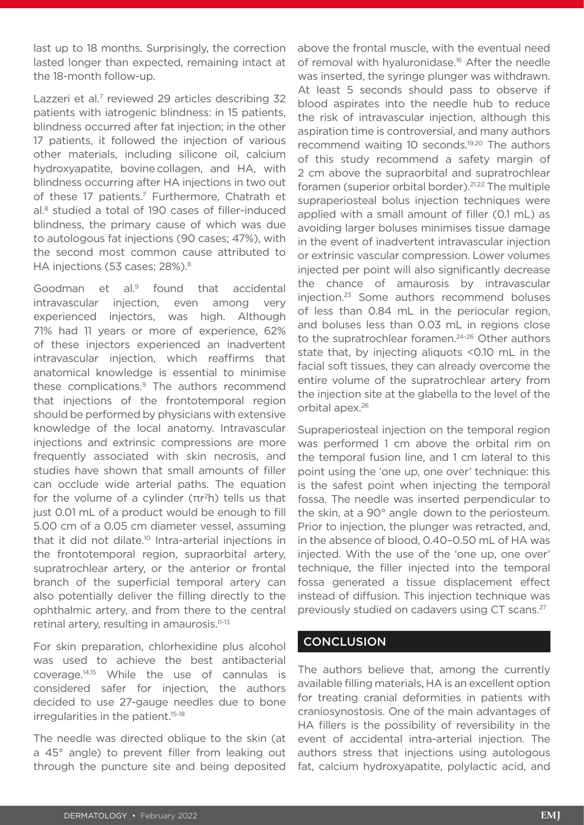last up to 18 months. Surprisingly, the correction lasted longer than expected, remaining intact at the 18-month follow-up.

Lazzeri et al.<sup>7</sup> reviewed 29 articles describing 32 patients with iatrogenic blindness: in 15 patients, blindness occurred after fat injection; in the other 17 patients, it followed the injection of various other materials, including silicone oil, calcium hydroxyapatite, bovine collagen, and HA, with blindness occurring after HA injections in two out of these 17 patients.7 Furthermore, Chatrath et al.8 studied a total of 190 cases of filler-induced blindness, the primary cause of which was due to autologous fat injections (90 cases; 47%), with the second most common cause attributed to HA injections (53 cases; 28%).<sup>8</sup>

Goodman et al.9 found that accidental intravascular injection, even among very experienced injectors, was high. Although 71% had 11 years or more of experience, 62% of these injectors experienced an inadvertent intravascular injection, which reaffirms that anatomical knowledge is essential to minimise these complications.<sup>9</sup> The authors recommend that injections of the frontotemporal region should be performed by physicians with extensive knowledge of the local anatomy. Intravascular injections and extrinsic compressions are more frequently associated with skin necrosis, and studies have shown that small amounts of filler can occlude wide arterial paths. The equation for the volume of a cylinder  $(\pi r^2 h)$  tells us that just 0.01 mL of a product would be enough to fill 5.00 cm of a 0.05 cm diameter vessel, assuming that it did not dilate.<sup>10</sup> Intra-arterial injections in the frontotemporal region, supraorbital artery, supratrochlear artery, or the anterior or frontal branch of the superficial temporal artery can also potentially deliver the filling directly to the ophthalmic artery, and from there to the central retinal artery, resulting in amaurosis.11-13

For skin preparation, chlorhexidine plus alcohol was used to achieve the best antibacterial coverage.14,15 While the use of cannulas is considered safer for injection, the authors decided to use 27-gauge needles due to bone irregularities in the patient.<sup>15-18</sup>

The needle was directed oblique to the skin (at a 45° angle) to prevent filler from leaking out through the puncture site and being deposited above the frontal muscle, with the eventual need of removal with hyaluronidase.<sup>16</sup> After the needle was inserted, the syringe plunger was withdrawn. At least 5 seconds should pass to observe if blood aspirates into the needle hub to reduce the risk of intravascular injection, although this aspiration time is controversial, and many authors recommend waiting 10 seconds.<sup>19,20</sup> The authors of this study recommend a safety margin of 2 cm above the supraorbital and supratrochlear foramen (superior orbital border).<sup>21,22</sup> The multiple supraperiosteal bolus injection techniques were applied with a small amount of filler (0.1 mL) as avoiding larger boluses minimises tissue damage in the event of inadvertent intravascular injection or extrinsic vascular compression. Lower volumes injected per point will also significantly decrease the chance of amaurosis by intravascular injection.23 Some authors recommend boluses of less than 0.84 mL in the periocular region, and boluses less than 0.03 mL in regions close to the supratrochlear foramen.<sup>24-26</sup> Other authors state that, by injecting aliquots <0.10 mL in the facial soft tissues, they can already overcome the entire volume of the supratrochlear artery from the injection site at the glabella to the level of the orbital apex.26

Supraperiosteal injection on the temporal region was performed 1 cm above the orbital rim on the temporal fusion line, and 1 cm lateral to this point using the 'one up, one over' technique: this is the safest point when injecting the temporal fossa. The needle was inserted perpendicular to the skin, at a 90° angle down to the periosteum. Prior to injection, the plunger was retracted, and, in the absence of blood, 0.40–0.50 mL of HA was injected. With the use of the 'one up, one over' technique, the filler injected into the temporal fossa generated a tissue displacement effect instead of diffusion. This injection technique was previously studied on cadavers using CT scans.27

## **CONCLUSION**

The authors believe that, among the currently available filling materials, HA is an excellent option for treating cranial deformities in patients with craniosynostosis. One of the main advantages of HA fillers is the possibility of reversibility in the event of accidental intra-arterial injection. The authors stress that injections using autologous fat, calcium hydroxyapatite, polylactic acid, and